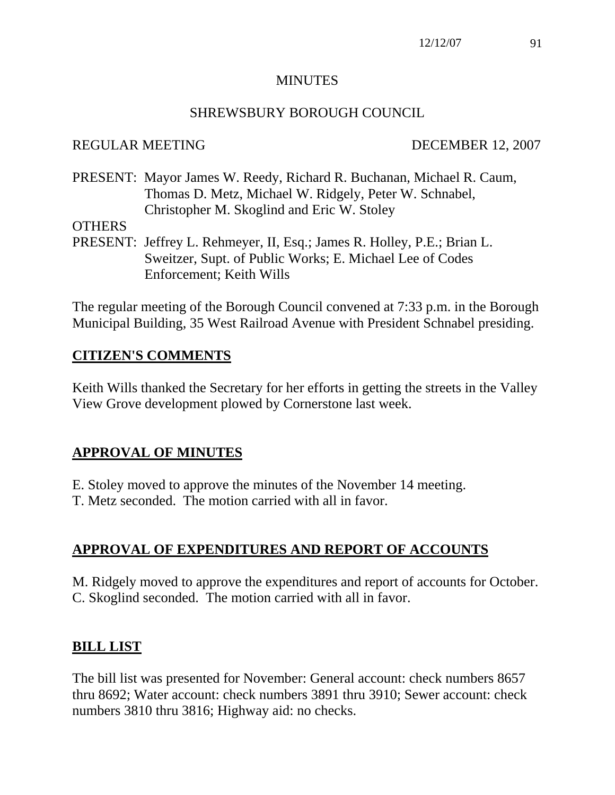#### MINUTES

#### SHREWSBURY BOROUGH COUNCIL

#### REGULAR MEETING DECEMBER 12, 2007

PRESENT: Mayor James W. Reedy, Richard R. Buchanan, Michael R. Caum, Thomas D. Metz, Michael W. Ridgely, Peter W. Schnabel, Christopher M. Skoglind and Eric W. Stoley

**OTHERS** 

PRESENT: Jeffrey L. Rehmeyer, II, Esq.; James R. Holley, P.E.; Brian L. Sweitzer, Supt. of Public Works; E. Michael Lee of Codes Enforcement; Keith Wills

The regular meeting of the Borough Council convened at 7:33 p.m. in the Borough Municipal Building, 35 West Railroad Avenue with President Schnabel presiding.

## **CITIZEN'S COMMENTS**

Keith Wills thanked the Secretary for her efforts in getting the streets in the Valley View Grove development plowed by Cornerstone last week.

# **APPROVAL OF MINUTES**

E. Stoley moved to approve the minutes of the November 14 meeting.

T. Metz seconded. The motion carried with all in favor.

# **APPROVAL OF EXPENDITURES AND REPORT OF ACCOUNTS**

M. Ridgely moved to approve the expenditures and report of accounts for October. C. Skoglind seconded. The motion carried with all in favor.

## **BILL LIST**

The bill list was presented for November: General account: check numbers 8657 thru 8692; Water account: check numbers 3891 thru 3910; Sewer account: check numbers 3810 thru 3816; Highway aid: no checks.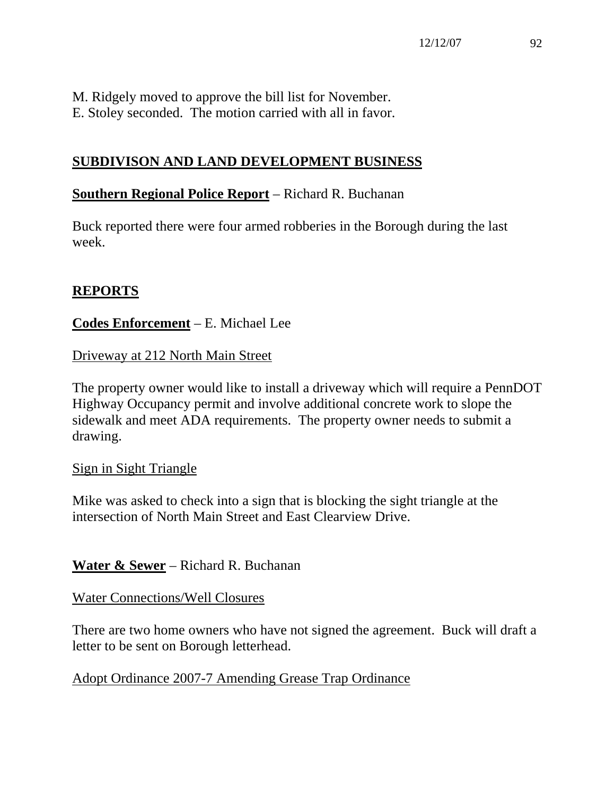M. Ridgely moved to approve the bill list for November. E. Stoley seconded. The motion carried with all in favor.

# **SUBDIVISON AND LAND DEVELOPMENT BUSINESS**

#### **Southern Regional Police Report** – Richard R. Buchanan

Buck reported there were four armed robberies in the Borough during the last week.

#### **REPORTS**

## **Codes Enforcement** – E. Michael Lee

Driveway at 212 North Main Street

The property owner would like to install a driveway which will require a PennDOT Highway Occupancy permit and involve additional concrete work to slope the sidewalk and meet ADA requirements. The property owner needs to submit a drawing.

#### Sign in Sight Triangle

Mike was asked to check into a sign that is blocking the sight triangle at the intersection of North Main Street and East Clearview Drive.

**Water & Sewer** – Richard R. Buchanan

#### Water Connections/Well Closures

There are two home owners who have not signed the agreement. Buck will draft a letter to be sent on Borough letterhead.

Adopt Ordinance 2007-7 Amending Grease Trap Ordinance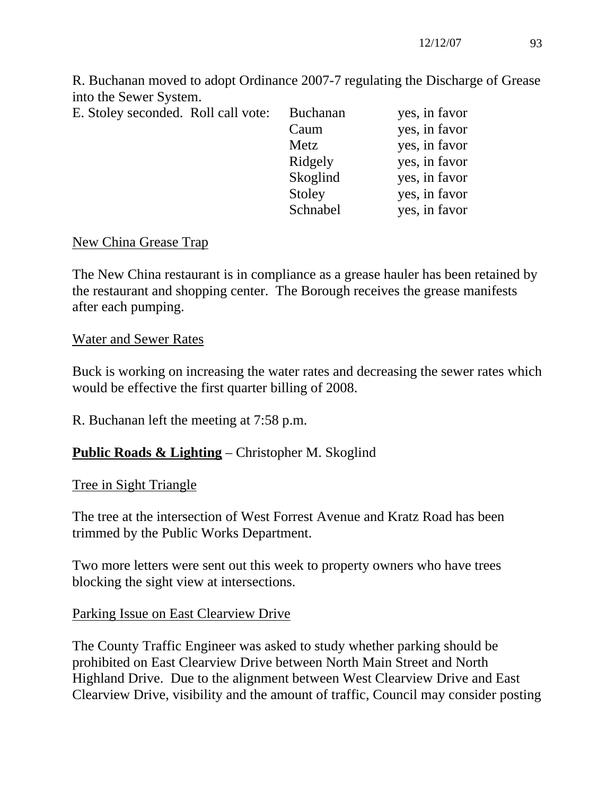R. Buchanan moved to adopt Ordinance 2007-7 regulating the Discharge of Grease into the Sewer System.

E. Stoley seconded. Roll call vote:

| E. Stoley seconded. Roll call vote: | <b>Buchanan</b> | yes, in favor |
|-------------------------------------|-----------------|---------------|
|                                     | Caum            | yes, in favor |
|                                     | Metz            | yes, in favor |
|                                     | Ridgely         | yes, in favor |
|                                     | Skoglind        | yes, in favor |
|                                     | Stoley          | yes, in favor |
|                                     | Schnabel        | yes, in favor |
|                                     |                 |               |

#### New China Grease Trap

The New China restaurant is in compliance as a grease hauler has been retained by the restaurant and shopping center. The Borough receives the grease manifests after each pumping.

#### Water and Sewer Rates

Buck is working on increasing the water rates and decreasing the sewer rates which would be effective the first quarter billing of 2008.

R. Buchanan left the meeting at 7:58 p.m.

## **Public Roads & Lighting** – Christopher M. Skoglind

## Tree in Sight Triangle

The tree at the intersection of West Forrest Avenue and Kratz Road has been trimmed by the Public Works Department.

Two more letters were sent out this week to property owners who have trees blocking the sight view at intersections.

## Parking Issue on East Clearview Drive

The County Traffic Engineer was asked to study whether parking should be prohibited on East Clearview Drive between North Main Street and North Highland Drive. Due to the alignment between West Clearview Drive and East Clearview Drive, visibility and the amount of traffic, Council may consider posting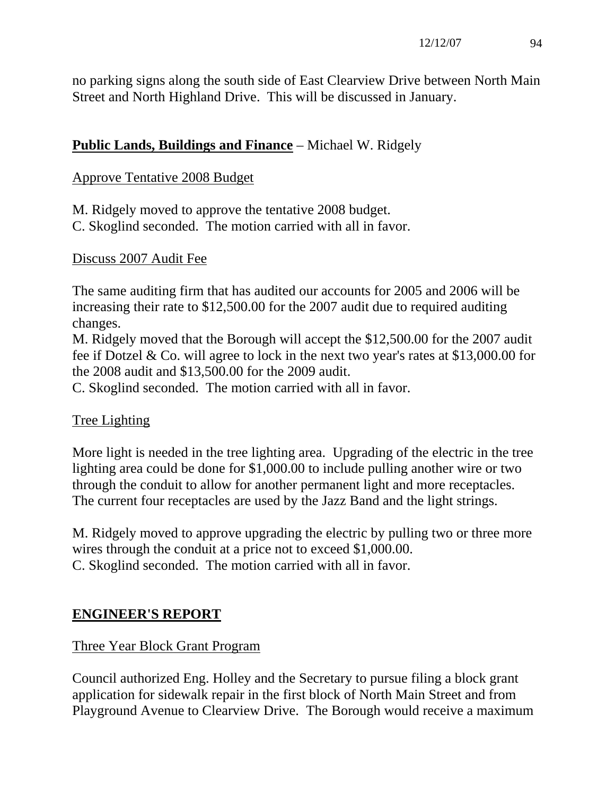no parking signs along the south side of East Clearview Drive between North Main Street and North Highland Drive. This will be discussed in January.

# **Public Lands, Buildings and Finance** – Michael W. Ridgely

# Approve Tentative 2008 Budget

M. Ridgely moved to approve the tentative 2008 budget. C. Skoglind seconded. The motion carried with all in favor.

## Discuss 2007 Audit Fee

The same auditing firm that has audited our accounts for 2005 and 2006 will be increasing their rate to \$12,500.00 for the 2007 audit due to required auditing changes.

M. Ridgely moved that the Borough will accept the \$12,500.00 for the 2007 audit fee if Dotzel & Co. will agree to lock in the next two year's rates at \$13,000.00 for the 2008 audit and \$13,500.00 for the 2009 audit.

C. Skoglind seconded. The motion carried with all in favor.

# Tree Lighting

More light is needed in the tree lighting area. Upgrading of the electric in the tree lighting area could be done for \$1,000.00 to include pulling another wire or two through the conduit to allow for another permanent light and more receptacles. The current four receptacles are used by the Jazz Band and the light strings.

M. Ridgely moved to approve upgrading the electric by pulling two or three more wires through the conduit at a price not to exceed \$1,000.00. C. Skoglind seconded. The motion carried with all in favor.

# **ENGINEER'S REPORT**

# Three Year Block Grant Program

Council authorized Eng. Holley and the Secretary to pursue filing a block grant application for sidewalk repair in the first block of North Main Street and from Playground Avenue to Clearview Drive. The Borough would receive a maximum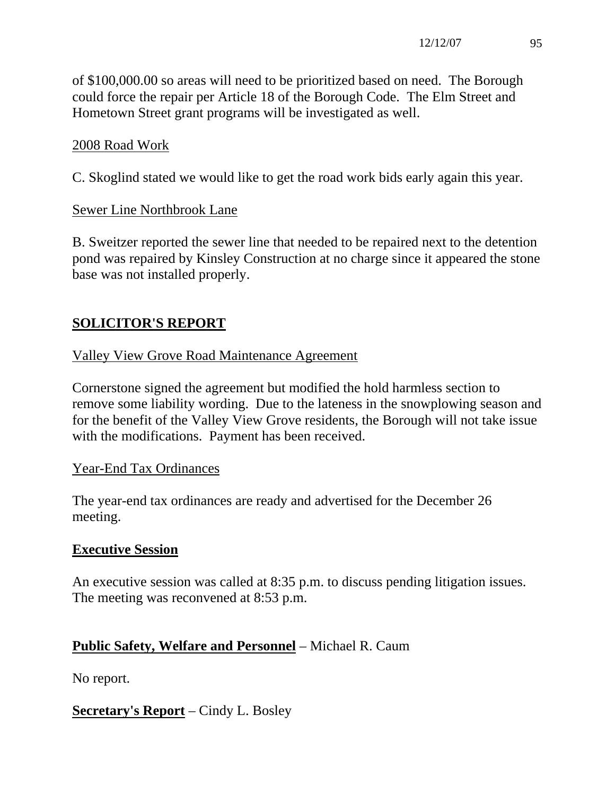of \$100,000.00 so areas will need to be prioritized based on need. The Borough could force the repair per Article 18 of the Borough Code. The Elm Street and Hometown Street grant programs will be investigated as well.

# 2008 Road Work

C. Skoglind stated we would like to get the road work bids early again this year.

## Sewer Line Northbrook Lane

B. Sweitzer reported the sewer line that needed to be repaired next to the detention pond was repaired by Kinsley Construction at no charge since it appeared the stone base was not installed properly.

# **SOLICITOR'S REPORT**

## Valley View Grove Road Maintenance Agreement

Cornerstone signed the agreement but modified the hold harmless section to remove some liability wording. Due to the lateness in the snowplowing season and for the benefit of the Valley View Grove residents, the Borough will not take issue with the modifications. Payment has been received.

## Year-End Tax Ordinances

The year-end tax ordinances are ready and advertised for the December 26 meeting.

## **Executive Session**

An executive session was called at 8:35 p.m. to discuss pending litigation issues. The meeting was reconvened at 8:53 p.m.

# **Public Safety, Welfare and Personnel** – Michael R. Caum

No report.

**Secretary's Report** – Cindy L. Bosley